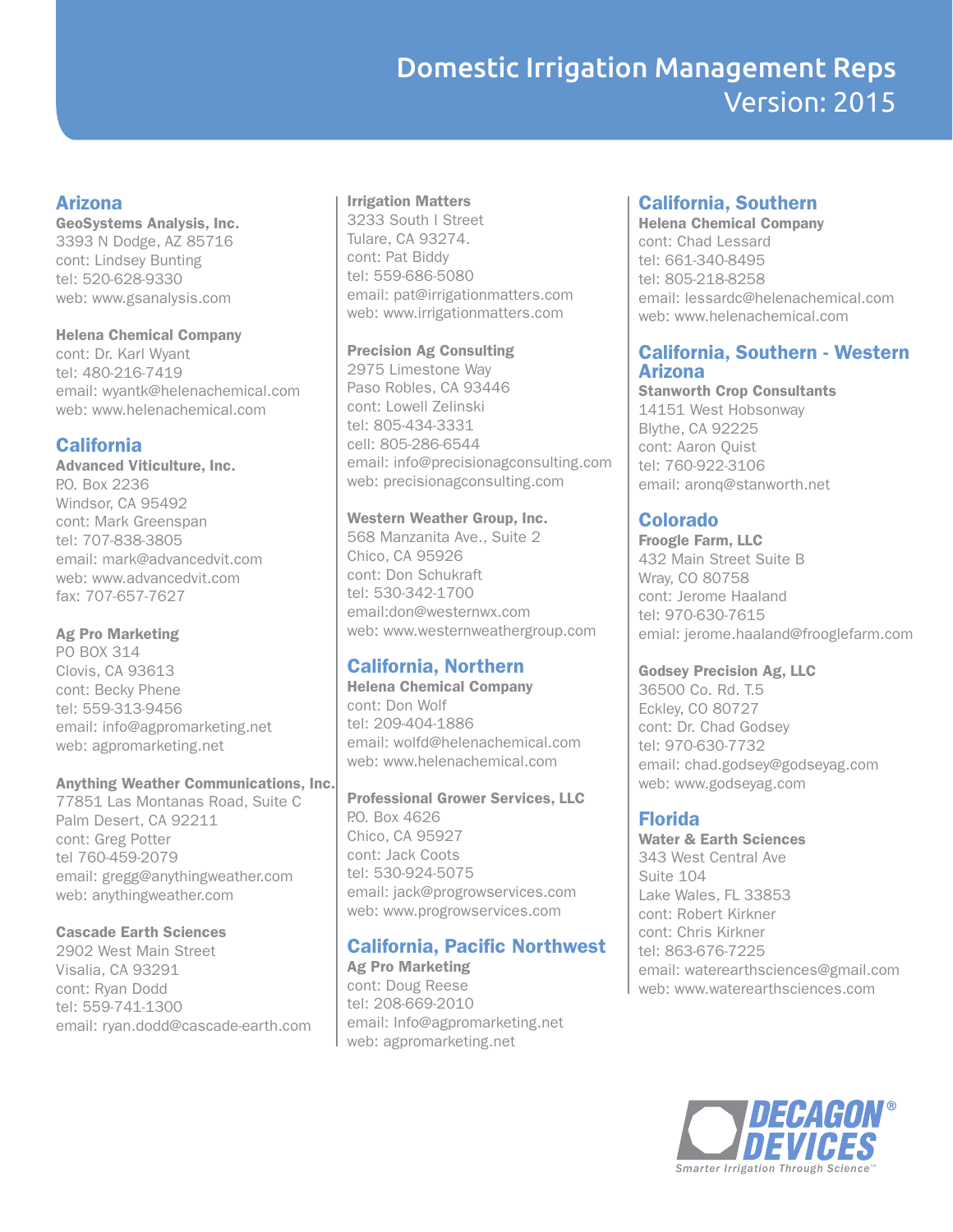# Domestic Irrigation Management Reps Version: 2015

## Arizona

GeoSystems Analysis, Inc. 3393 N Dodge, AZ 85716 cont: Lindsey Bunting tel: 520-628-9330 web: www.gsanalysis.com

Helena Chemical Company

cont: Dr. Karl Wyant tel: 480-216-7419 email: wyantk@helenachemical.com web: www.helenachemical.com

# **California**

Advanced Viticulture, Inc. P.O. Box 2236 Windsor, CA 95492 cont: Mark Greenspan tel: 707-838-3805 email: mark@advancedvit.com web: www.advancedvit.com fax: 707-657-7627

## Ag Pro Marketing

PO BOX 314 Clovis, CA 93613 cont: Becky Phene tel: 559-313-9456 email: info@agpromarketing.net web: agpromarketing.net

### Anything Weather Communications, Inc.

77851 Las Montanas Road, Suite C Palm Desert, CA 92211 cont: Greg Potter tel 760-459-2079 email: gregg@anythingweather.com web: anythingweather.com

## Cascade Earth Sciences

2902 West Main Street Visalia, CA 93291 cont: Ryan Dodd tel: 559-741-1300 email: ryan.dodd@cascade-earth.com

### Irrigation Matters

3233 South I Street Tulare, CA 93274. cont: Pat Biddy tel: 559-686-5080 email: pat@irrigationmatters.com web: www.irrigationmatters.com

### Precision Ag Consulting

2975 Limestone Way Paso Robles, CA 93446 cont: Lowell Zelinski tel: 805-434-3331 cell: 805-286-6544 email: info@precisionagconsulting.com web: precisionagconsulting.com

## Western Weather Group, Inc.

568 Manzanita Ave., Suite 2 Chico, CA 95926 cont: Don Schukraft tel: 530-342-1700 email:don@westernwx.com web: www.westernweathergroup.com

# California, Northern

Helena Chemical Company cont: Don Wolf tel: 209-404-1886 email: wolfd@helenachemical.com web: www.helenachemical.com

Professional Grower Services, LLC P.O. Box 4626 Chico, CA 95927 cont: Jack Coots tel: 530-924-5075 email: jack@progrowservices.com web: www.progrowservices.com

# California, Pacific Northwest

Ag Pro Marketing cont: Doug Reese tel: 208-669-2010 email: Info@agpromarketing.net web: agpromarketing.net

## California, Southern

Helena Chemical Company cont: Chad Lessard tel: 661-340-8495 tel: 805-218-8258 email: lessardc@helenachemical.com web: www.helenachemical.com

### California, Southern - Western Arizona

Stanworth Crop Consultants 14151 West Hobsonway Blythe, CA 92225 cont: Aaron Quist tel: 760-922-3106 email: aronq@stanworth.net

# Colorado

Froogle Farm, LLC 432 Main Street Suite B Wray, CO 80758 cont: Jerome Haaland tel: 970-630-7615 emial: jerome.haaland@frooglefarm.com

### Godsey Precision Ag, LLC

36500 Co. Rd. T.5 Eckley, CO 80727 cont: Dr. Chad Godsey tel: 970-630-7732 email: chad.godsey@godseyag.com web: www.godseyag.com

# Florida

Water & Earth Sciences 343 West Central Ave Suite 104 Lake Wales, FL 33853 cont: Robert Kirkner cont: Chris Kirkner tel: 863-676-7225 email: waterearthsciences@gmail.com web: www.waterearthsciences.com